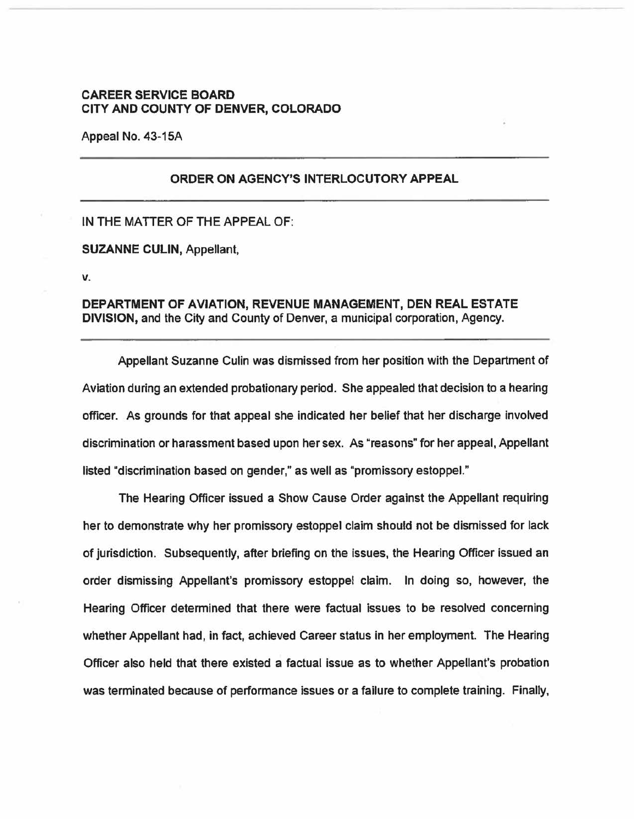## **CAREER SERVICE BOARD CITY AND COUNTY OF DENVER, COLORADO**

Appeal No. 43-15A

## **ORDER ON AGENCY'S INTERLOCUTORY APPEAL**

IN THE MATTER OF THE APPEAL OF:

**SUZANNE CULIN,** Appellant,

**V.** 

**DEPARTMENT OF AVIATION, REVENUE MANAGEMENT, DEN REAL ESTATE DIVISION,** and the City and County of Denver, a municipal corporation, Agency.

Appellant Suzanne Culin was dismissed from her position with the Department of Aviation during an extended probationary period. She appealed that decision to a hearing officer. As grounds for that appeal she indicated her belief that her discharge involved discrimination or harassment based upon her sex. As "reasons" for her appeal, Appellant listed "discrimination based on gender," as well as "promissory estoppel."

The Hearing Officer issued a Show Cause Order against the Appellant requiring her to demonstrate why her promissory estoppal claim should not be dismissed for lack of jurisdiction. Subsequently, after briefing on the issues, the Hearing Officer issued an order dismissing Appellant's promissory estoppel claim. In doing so, however, the Hearing Officer determined that there were factual issues to be resolved concerning whether Appellant had, in fact, achieved Career status in her employment. The Hearing Officer also held that there existed a factual issue as to whether Appellant's probation was terminated because of performance issues or a failure to complete training. Finally,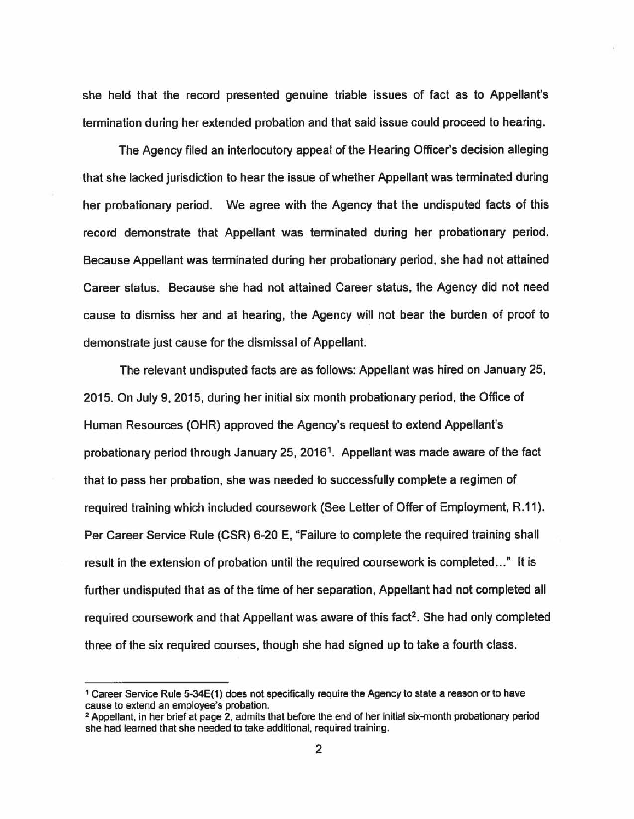she held that the record presented genuine triable issues of fact as to Appellant's termination during her extended probation and that said issue could proceed to hearing.

The Agency filed an interlocutory appeal of the Hearing Officer's decision alleging that she lacked jurisdiction to hear the issue of whether Appellant was terminated during her probationary period. We agree with the Agency that the undisputed facts of this record demonstrate that Appellant was terminated during her probationary period. Because Appellant was terminated during her probationary period, she had not attained Career status. Because she had not attained Career status, the Agency did not need cause to dismiss her and at hearing, the Agency will not bear the burden of proof to demonstrate just cause for the dismissal of Appellant.

The relevant undisputed facts are as follows: Appellant was hired on January 25, 2015. On July 9, 2015, during her initial six month probationary period, the Office of Human Resources (OHR) approved the Agency's request to extend Appellant's probationary period through January 25, 2016<sup>1</sup>. Appellant was made aware of the fact that to pass her probation, she was needed to successfully complete a regimen of required training which included coursework (See Letter of Offer of Employment, R.11 ). Per Career Service Rule (CSR) 6-20 E, "Failure to complete the required training shall result in the extension of probation until the required coursework is completed..." It is further undisputed that as of the time of her separation, Appellant had not completed all required coursework and that Appellant was aware of this fact<sup>2</sup>. She had only completed three of the six required courses, though she had signed up to take a fourth class.

<sup>1</sup>Career Service Rule 5-34E(1) does not specifically require the Agency to state a reason or to have cause to extend an employee's probation.

<sup>2</sup> Appellant, in her brief at page 2, admits that before the end of her initial six-month probationary period she had learned that she needed to take additional, required training.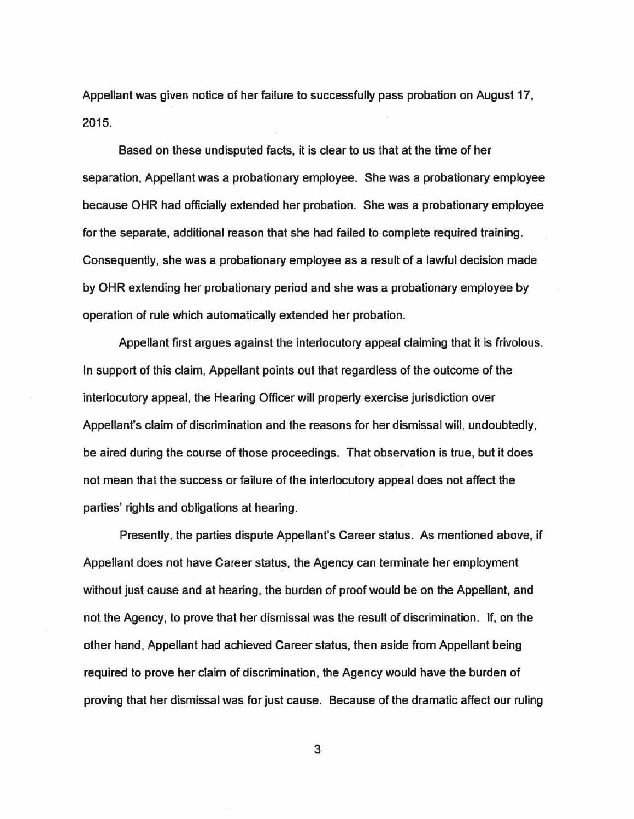Appellant was given notice of her failure to successfully pass probation on August 17, 2015.

Based on these undisputed facts, it is clear to us that at the time of her separation, Appellant was a probationary employee. She was a probationary employee because OHR had officially extended her probation. She was a probationary employee for the separate, additional reason that she had failed to complete required training. Consequently, she was a probationary employee as a result of a lawful decision made by OHR extending her probationary period and she was a probationary employee by operation of rule which automatically extended her probation.

Appellant first argues against the interlocutory appeal claiming that it is frivolous. In support of this claim, Appellant points out that regardless of the outcome of the interlocutory appeal, the Hearing Officer will properly exercise jurisdiction over Appellant's claim of discrimination and the reasons for her dismissal will, undoubtedly, be aired during the course of those proceedings. That observation is true, but it does not mean that the success or failure of the interlocutory appeal does not affect the parties' rights and obligations at hearing.

Presently, the parties dispute Appellant's Career status. As mentioned above, if Appellant does not have Career status, the Agency can terminate her employment without just cause and at hearing, the burden of proof would be on the Appellant, and not the Agency, to prove that her dismissal was the result of discrimination. If, on the other hand, Appellant had achieved Career status, then aside from Appellant being required to prove her claim of discrimination, the Agency would have the burden of proving that her dismissal was for just cause. Because of the dramatic affect our ruling

3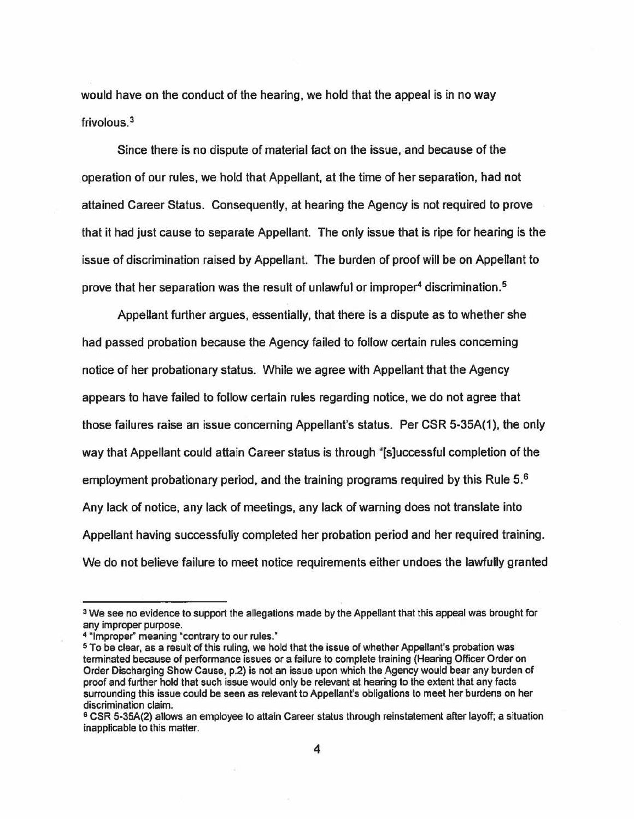would have on the conduct of the hearing, we hold that the appeal is in no way frivolous. 3

Since there is no dispute of material fact on the issue, and because of the operation of our rules, we hold that Appellant, at the time of her separation, had not attained Career Status. Consequently, at hearing the Agency is not required to prove that it had just cause to separate Appellant. The only issue that is ripe for hearing is the issue of discrimination raised by Appellant. The burden of proof will be on Appellant to prove that her separation was the result of unlawful or improper' discrimination. 5

Appellant further argues, essentially, that there is a dispute as to whether she had passed probation because the Agency failed to follow certain rules concerning notice of her probationary status. While we agree with Appellant that the Agency appears to have failed to follow certain rules regarding notice, we do not agree that those failures raise an issue concerning Appellant's status. Per CSR 5-35A(1 ), the only way that Appellant could attain Career status is through "[s]uccessful completion of the employment probationary period, and the training programs required by this Rule 5.<sup>6</sup> Any lack of notice, any lack of meetings, any lack of warning does not translate into Appellant having successfully completed her probation period and her required training. We do not believe failure to meet notice requirements either undoes the lawfully granted

<sup>&</sup>lt;sup>3</sup> We see no evidence to support the allegations made by the Appellant that this appeal was brought for any improper purpose.

<sup>• &</sup>quot;Improper" meaning "contrary to our rules."

<sup>5</sup> To be clear, as a result of this ruling, we hold that the issue of whether Appellant's probation was terminated because of performance issues or a failure to complete training {Hearing Officer Order on Order Discharging Show Cause, p.2) is not an issue upon which the Agency would bear any burden of proof and further hold that such issue would only be relevant at hearing to the extent that any facts surrounding this issue could be seen as relevant to Appellant's obligations to meet her burdens on her discrimination claim.

<sup>6</sup> CSR 5-35A(2) allows an employee to attain Career status through reinstatement after layoff; a situation inapplicable to this matter.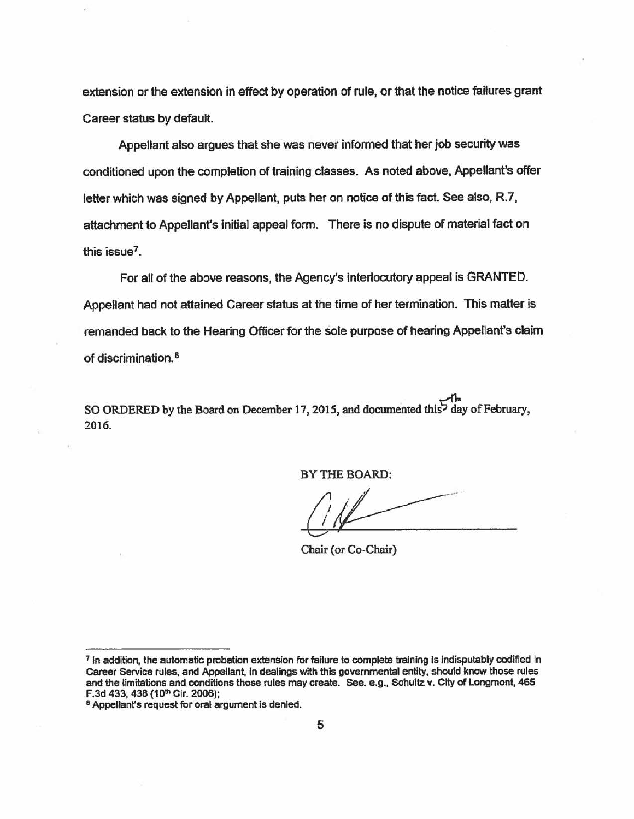extension or the extension in effect by operation of rule, or that the notice failures grant Career status by default.

Appellant also argues that she was never informed that her job security was conditioned upon the completion of training classes. As noted above, Appellant's offer letter which was signed by Appellant, puts her on notice of this fact. See also, R.7, attachment to Appellant's initial appeal form. There is no dispute of material fact on this issue $<sup>7</sup>$ .</sup>

For all of the above reasons, the Agency's interlocutory appeal is GRANTED. Appellant had not attained Career status at the time of her termination. This matter is remanded back to the Hearing Officer for the sole purpose of hearing Appellant's claim of discrimination. 8

SO ORDERED by the Board on December 17, 2015, and documented this  $\overline{5}$  day of February, 2016.

BY THE BOARD:

Chair (or Co-Chair)

<sup>7</sup> In addition, the automatic probation extension for failure to complete training Is Indisputably codified in Career Service rules, and Appellant. In dealings with this governmental entity, should know those rules and the limitations and conditions those rules may create. See. e.g., Schultz v. City of Longmont, 465<br>F.3d 433, 438 (10<sup>th</sup> Cir. 2006);

<sup>&</sup>lt;sup>8</sup> Appellant's request for oral argument is denied.